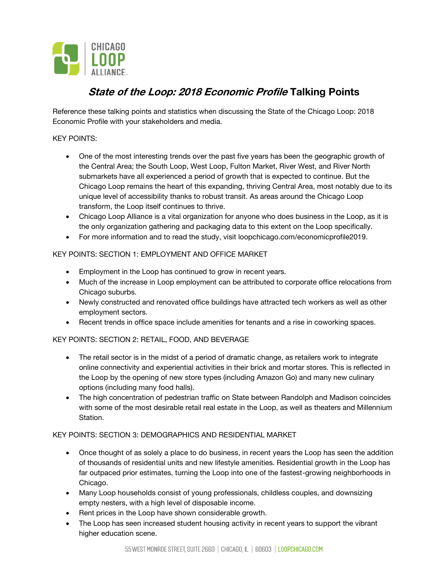

# **State of the Loop: 2018 Economic Profile Talking Points**

Reference these talking points and statistics when discussing the State of the Chicago Loop: 2018 Economic Profile with your stakeholders and media.

#### KEY POINTS:

- One of the most interesting trends over the past five years has been the geographic growth of the Central Area; the South Loop, West Loop, Fulton Market, River West, and River North submarkets have all experienced a period of growth that is expected to continue. But the Chicago Loop remains the heart of this expanding, thriving Central Area, most notably due to its unique level of accessibility thanks to robust transit. As areas around the Chicago Loop transform, the Loop itself continues to thrive.
- Chicago Loop Alliance is a vital organization for anyone who does business in the Loop, as it is the only organization gathering and packaging data to this extent on the Loop specifically.
- For more information and to read the study, visit loopchicago.com/economicprofile2019.

## KEY POINTS: SECTION 1: EMPLOYMENT AND OFFICE MARKET

- Employment in the Loop has continued to grow in recent years.
- Much of the increase in Loop employment can be attributed to corporate office relocations from Chicago suburbs.
- Newly constructed and renovated office buildings have attracted tech workers as well as other employment sectors.
- Recent trends in office space include amenities for tenants and a rise in coworking spaces.

# KEY POINTS: SECTION 2: RETAIL, FOOD, AND BEVERAGE

- The retail sector is in the midst of a period of dramatic change, as retailers work to integrate online connectivity and experiential activities in their brick and mortar stores. This is reflected in the Loop by the opening of new store types (including Amazon Go) and many new culinary options (including many food halls).
- The high concentration of pedestrian traffic on State between Randolph and Madison coincides with some of the most desirable retail real estate in the Loop, as well as theaters and Millennium **Station**

#### KEY POINTS: SECTION 3: DEMOGRAPHICS AND RESIDENTIAL MARKET

- Once thought of as solely a place to do business, in recent years the Loop has seen the addition of thousands of residential units and new lifestyle amenities. Residential growth in the Loop has far outpaced prior estimates, turning the Loop into one of the fastest-growing neighborhoods in Chicago.
- Many Loop households consist of young professionals, childless couples, and downsizing empty nesters, with a high level of disposable income.
- Rent prices in the Loop have shown considerable growth.
- The Loop has seen increased student housing activity in recent years to support the vibrant higher education scene.